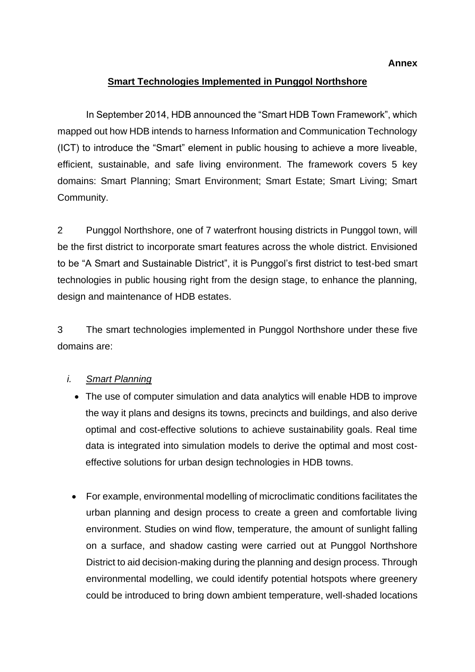# **Smart Technologies Implemented in Punggol Northshore**

In September 2014, HDB announced the "Smart HDB Town Framework", which mapped out how HDB intends to harness Information and Communication Technology (ICT) to introduce the "Smart" element in public housing to achieve a more liveable, efficient, sustainable, and safe living environment. The framework covers 5 key domains: Smart Planning; Smart Environment; Smart Estate; Smart Living; Smart Community.

2 Punggol Northshore, one of 7 waterfront housing districts in Punggol town, will be the first district to incorporate smart features across the whole district. Envisioned to be "A Smart and Sustainable District", it is Punggol's first district to test-bed smart technologies in public housing right from the design stage, to enhance the planning, design and maintenance of HDB estates.

3 The smart technologies implemented in Punggol Northshore under these five domains are:

# *i. Smart Planning*

- The use of computer simulation and data analytics will enable HDB to improve the way it plans and designs its towns, precincts and buildings, and also derive optimal and cost-effective solutions to achieve sustainability goals. Real time data is integrated into simulation models to derive the optimal and most costeffective solutions for urban design technologies in HDB towns.
- For example, environmental modelling of microclimatic conditions facilitates the urban planning and design process to create a green and comfortable living environment. Studies on wind flow, temperature, the amount of sunlight falling on a surface, and shadow casting were carried out at Punggol Northshore District to aid decision-making during the planning and design process. Through environmental modelling, we could identify potential hotspots where greenery could be introduced to bring down ambient temperature, well-shaded locations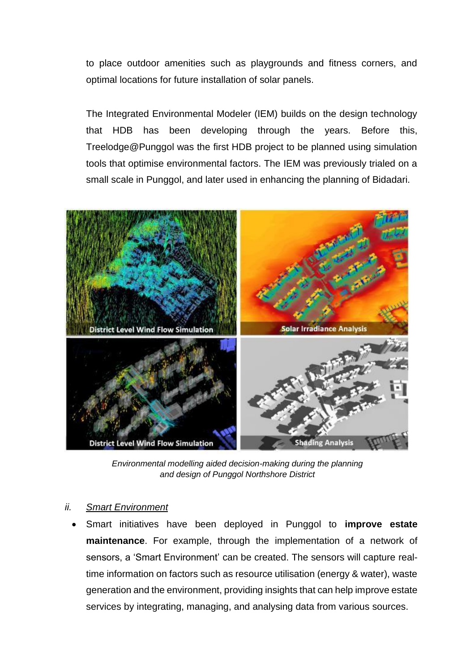to place outdoor amenities such as playgrounds and fitness corners, and optimal locations for future installation of solar panels.

The Integrated Environmental Modeler (IEM) builds on the design technology that HDB has been developing through the years. Before this, Treelodge@Punggol was the first HDB project to be planned using simulation tools that optimise environmental factors. The IEM was previously trialed on a small scale in Punggol, and later used in enhancing the planning of Bidadari.



*Environmental modelling aided decision-making during the planning and design of Punggol Northshore District*

## *ii. Smart Environment*

• Smart initiatives have been deployed in Punggol to **improve estate maintenance**. For example, through the implementation of a network of sensors, a 'Smart Environment' can be created. The sensors will capture realtime information on factors such as resource utilisation (energy & water), waste generation and the environment, providing insights that can help improve estate services by integrating, managing, and analysing data from various sources.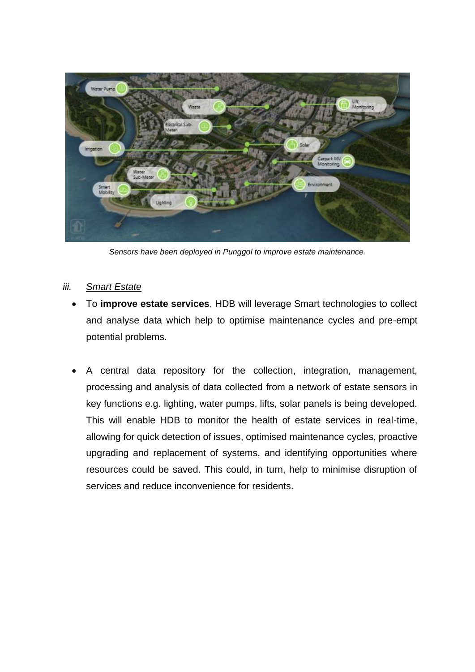

*Sensors have been deployed in Punggol to improve estate maintenance.* 

## *iii. Smart Estate*

- To **improve estate services**, HDB will leverage Smart technologies to collect and analyse data which help to optimise maintenance cycles and pre-empt potential problems.
- A central data repository for the collection, integration, management, processing and analysis of data collected from a network of estate sensors in key functions e.g. lighting, water pumps, lifts, solar panels is being developed. This will enable HDB to monitor the health of estate services in real-time, allowing for quick detection of issues, optimised maintenance cycles, proactive upgrading and replacement of systems, and identifying opportunities where resources could be saved. This could, in turn, help to minimise disruption of services and reduce inconvenience for residents.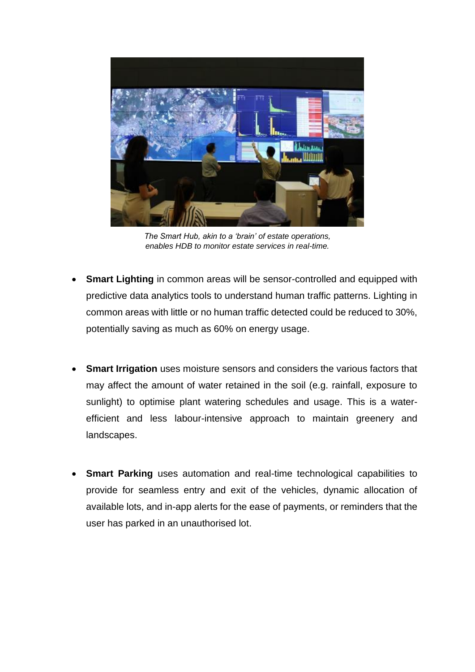

*The Smart Hub, akin to a 'brain' of estate operations, enables HDB to monitor estate services in real-time.*

- **Smart Lighting** in common areas will be sensor-controlled and equipped with predictive data analytics tools to understand human traffic patterns. Lighting in common areas with little or no human traffic detected could be reduced to 30%, potentially saving as much as 60% on energy usage.
- **Smart Irrigation** uses moisture sensors and considers the various factors that may affect the amount of water retained in the soil (e.g. rainfall, exposure to sunlight) to optimise plant watering schedules and usage. This is a waterefficient and less labour-intensive approach to maintain greenery and landscapes.
- **Smart Parking** uses automation and real-time technological capabilities to provide for seamless entry and exit of the vehicles, dynamic allocation of available lots, and in-app alerts for the ease of payments, or reminders that the user has parked in an unauthorised lot.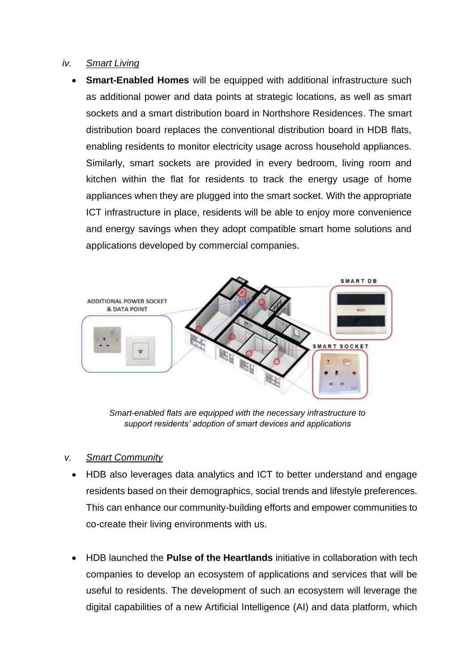## *iv. Smart Living*

• **Smart-Enabled Homes** will be equipped with additional infrastructure such as additional power and data points at strategic locations, as well as smart sockets and a smart distribution board in Northshore Residences. The smart distribution board replaces the conventional distribution board in HDB flats, enabling residents to monitor electricity usage across household appliances. Similarly, smart sockets are provided in every bedroom, living room and kitchen within the flat for residents to track the energy usage of home appliances when they are plugged into the smart socket. With the appropriate ICT infrastructure in place, residents will be able to enjoy more convenience and energy savings when they adopt compatible smart home solutions and applications developed by commercial companies.



*Smart-enabled flats are equipped with the necessary infrastructure to support residents' adoption of smart devices and applications*

# *v. Smart Community*

- HDB also leverages data analytics and ICT to better understand and engage residents based on their demographics, social trends and lifestyle preferences. This can enhance our community-building efforts and empower communities to co-create their living environments with us.
- HDB launched the **Pulse of the Heartlands** initiative in collaboration with tech companies to develop an ecosystem of applications and services that will be useful to residents. The development of such an ecosystem will leverage the digital capabilities of a new Artificial Intelligence (AI) and data platform, which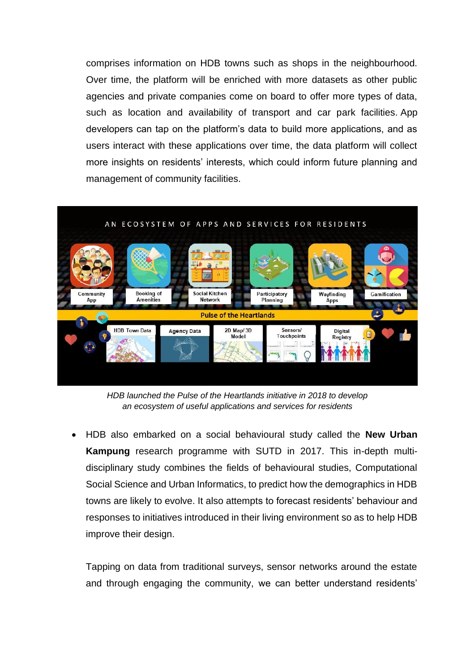comprises information on HDB towns such as shops in the neighbourhood. Over time, the platform will be enriched with more datasets as other public agencies and private companies come on board to offer more types of data, such as location and availability of transport and car park facilities. App developers can tap on the platform's data to build more applications, and as users interact with these applications over time, the data platform will collect more insights on residents' interests, which could inform future planning and management of community facilities.



*HDB launched the Pulse of the Heartlands initiative in 2018 to develop an ecosystem of useful applications and services for residents*

• HDB also embarked on a social behavioural study called the **New Urban Kampung** research programme with SUTD in 2017. This in-depth multidisciplinary study combines the fields of behavioural studies, Computational Social Science and Urban Informatics, to predict how the demographics in HDB towns are likely to evolve. It also attempts to forecast residents' behaviour and responses to initiatives introduced in their living environment so as to help HDB improve their design.

Tapping on data from traditional surveys, sensor networks around the estate and through engaging the community, we can better understand residents'